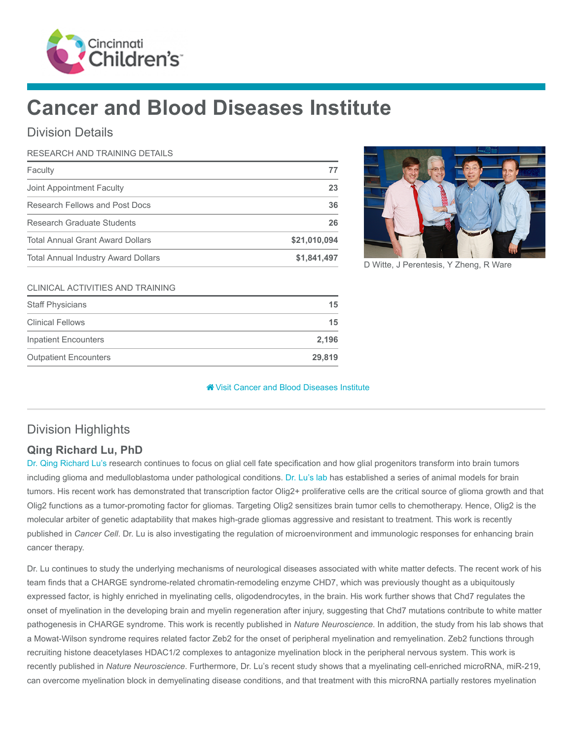

# Cancer and Blood Diseases Institute

## Division Details

#### RESEARCH AND TRAINING DETAILS

| Faculty                                    | 77           |
|--------------------------------------------|--------------|
| Joint Appointment Faculty                  | 23           |
| Research Fellows and Post Docs             | 36           |
| Research Graduate Students                 | 26           |
| <b>Total Annual Grant Award Dollars</b>    | \$21,010,094 |
| <b>Total Annual Industry Award Dollars</b> | \$1,841,497  |



D Witte, J Perentesis, Y Zheng, R Ware

#### CLINICAL ACTIVITIES AND TRAINING

| <b>Staff Physicians</b>      | 15     |
|------------------------------|--------|
| <b>Clinical Fellows</b>      | 15     |
| <b>Inpatient Encounters</b>  | 2,196  |
| <b>Outpatient Encounters</b> | 29.819 |

#### **<sup><sup>8</sup>** [Visit Cancer and Blood Diseases Institute](https://www.cincinnatichildrens.org/research/divisions/c/cbdi)</sup>

## Division Highlights

## Qing Richard Lu, PhD

[Dr. Qing Richard Lu's](https://www.cincinnatichildrens.org/bio/l/qing-richard-lu) research continues to focus on glial cell fate specification and how glial progenitors transform into brain tumors including glioma and medulloblastoma under pathological conditions. [Dr. Lu's lab](https://www.cincinnatichildrens.org/research/divisions/e/ex-hem/labs/lu) has established a series of animal models for brain tumors. His recent work has demonstrated that transcription factor Olig2+ proliferative cells are the critical source of glioma growth and that Olig2 functions as a tumor-promoting factor for gliomas. Targeting Olig2 sensitizes brain tumor cells to chemotherapy. Hence, Olig2 is the molecular arbiter of genetic adaptability that makes high-grade gliomas aggressive and resistant to treatment. This work is recently published in Cancer Cell. Dr. Lu is also investigating the regulation of microenvironment and immunologic responses for enhancing brain cancer therapy.

Dr. Lu continues to study the underlying mechanisms of neurological diseases associated with white matter defects. The recent work of his team finds that a CHARGE syndrome-related chromatin-remodeling enzyme CHD7, which was previously thought as a ubiquitously expressed factor, is highly enriched in myelinating cells, oligodendrocytes, in the brain. His work further shows that Chd7 regulates the onset of myelination in the developing brain and myelin regeneration after injury, suggesting that Chd7 mutations contribute to white matter pathogenesis in CHARGE syndrome. This work is recently published in Nature Neuroscience. In addition, the study from his lab shows that a Mowat-Wilson syndrome requires related factor Zeb2 for the onset of peripheral myelination and remyelination. Zeb2 functions through recruiting histone deacetylases HDAC1/2 complexes to antagonize myelination block in the peripheral nervous system. This work is recently published in Nature Neuroscience. Furthermore, Dr. Lu's recent study shows that a myelinating cell-enriched microRNA, miR-219, can overcome myelination block in demyelinating disease conditions, and that treatment with this microRNA partially restores myelination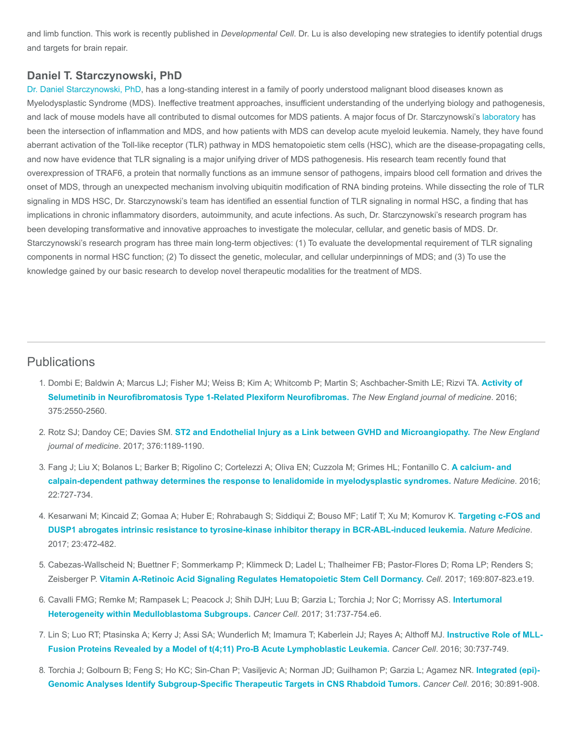and limb function. This work is recently published in Developmental Cell. Dr. Lu is also developing new strategies to identify potential drugs and targets for brain repair.

#### Daniel T. Starczynowski, PhD

[Dr. Daniel Starczynowski, PhD](https://www.cincinnatichildrens.org/bio/s/daniel-starczynowski), has a long-standing interest in a family of poorly understood malignant blood diseases known as Myelodysplastic Syndrome (MDS). Ineffective treatment approaches, insufficient understanding of the underlying biology and pathogenesis, and lack of mouse models have all contributed to dismal outcomes for MDS patients. A major focus of Dr. Starczynowski's [laboratory](https://www.cincinnatichildrens.org/research/divisions/e/ex-hem/labs/starczynowski) has been the intersection of inflammation and MDS, and how patients with MDS can develop acute myeloid leukemia. Namely, they have found aberrant activation of the Toll-like receptor (TLR) pathway in MDS hematopoietic stem cells (HSC), which are the disease-propagating cells, and now have evidence that TLR signaling is a major unifying driver of MDS pathogenesis. His research team recently found that overexpression of TRAF6, a protein that normally functions as an immune sensor of pathogens, impairs blood cell formation and drives the onset of MDS, through an unexpected mechanism involving ubiquitin modification of RNA binding proteins. While dissecting the role of TLR signaling in MDS HSC, Dr. Starczynowski's team has identified an essential function of TLR signaling in normal HSC, a finding that has implications in chronic inflammatory disorders, autoimmunity, and acute infections. As such, Dr. Starczynowski's research program has been developing transformative and innovative approaches to investigate the molecular, cellular, and genetic basis of MDS. Dr. Starczynowski's research program has three main long-term objectives: (1) To evaluate the developmental requirement of TLR signaling components in normal HSC function; (2) To dissect the genetic, molecular, and cellular underpinnings of MDS; and (3) To use the knowledge gained by our basic research to develop novel therapeutic modalities for the treatment of MDS.

### **Publications**

- 1. [Dombi E; Baldwin A; Marcus LJ; Fisher MJ; Weiss B; Kim A; Whitcomb P; Martin S; Aschbacher-Smith LE; Rizvi TA.](https://www.ncbi.nlm.nih.gov/pubmed/28029918) Activity of Selumetinib in Neurofibromatosis Type 1-Related Plexiform Neurofibromas. The New England journal of medicine. 2016; 375:2550-2560.
- 2. Rotz SJ; Dandoy CE; Davies SM. [ST2 and Endothelial Injury as a Link between GVHD and Microangiopathy.](https://www.ncbi.nlm.nih.gov/pubmed/28328331) The New England journal of medicine. 2017; 376:1189-1190.
- 3. [Fang J; Liu X; Bolanos L; Barker B; Rigolino C; Cortelezzi A; Oliva EN; Cuzzola M; Grimes HL; Fontanillo C.](https://www.ncbi.nlm.nih.gov/pubmed/27294874) A calcium- and calpain-dependent pathway determines the response to lenalidomide in myelodysplastic syndromes. Nature Medicine. 2016; 22:727-734.
- 4. [Kesarwani M; Kincaid Z; Gomaa A; Huber E; Rohrabaugh S; Siddiqui Z; Bouso MF; Latif T; Xu M; Komurov K.](https://www.ncbi.nlm.nih.gov/pubmed/28319094) Targeting c-FOS and DUSP1 abrogates intrinsic resistance to tyrosine-kinase inhibitor therapy in BCR-ABL-induced leukemia. Nature Medicine. 2017; 23:472-482.
- 5. Cabezas-Wallscheid N; Buettner F; Sommerkamp P; Klimmeck D; Ladel L; Thalheimer FB; Pastor-Flores D; Roma LP; Renders S; Zeisberger P. [Vitamin A-Retinoic Acid Signaling Regulates Hematopoietic Stem Cell Dormancy.](https://www.ncbi.nlm.nih.gov/pubmed/28479188) Cell. 2017; 169:807-823.e19.
- 6. [Cavalli FMG; Remke M; Rampasek L; Peacock J; Shih DJH; Luu B; Garzia L; Torchia J; Nor C; Morrissy AS.](https://www.ncbi.nlm.nih.gov/pubmed/28609654) Intertumoral Heterogeneity within Medulloblastoma Subgroups. Cancer Cell. 2017; 31:737-754.e6.
- 7. [Lin S; Luo RT; Ptasinska A; Kerry J; Assi SA; Wunderlich M; Imamura T; Kaberlein JJ; Rayes A; Althoff MJ.](https://www.ncbi.nlm.nih.gov/pubmed/27846391) Instructive Role of MLL-Fusion Proteins Revealed by a Model of t(4;11) Pro-B Acute Lymphoblastic Leukemia. Cancer Cell. 2016; 30:737-749.
- 8. [Torchia J; Golbourn B; Feng S; Ho KC; Sin-Chan P; Vasiljevic A; Norman JD; Guilhamon P; Garzia L; Agamez NR.](https://www.ncbi.nlm.nih.gov/pubmed/27960086) Integrated (epi)-Genomic Analyses Identify Subgroup-Specific Therapeutic Targets in CNS Rhabdoid Tumors. Cancer Cell. 2016; 30:891-908.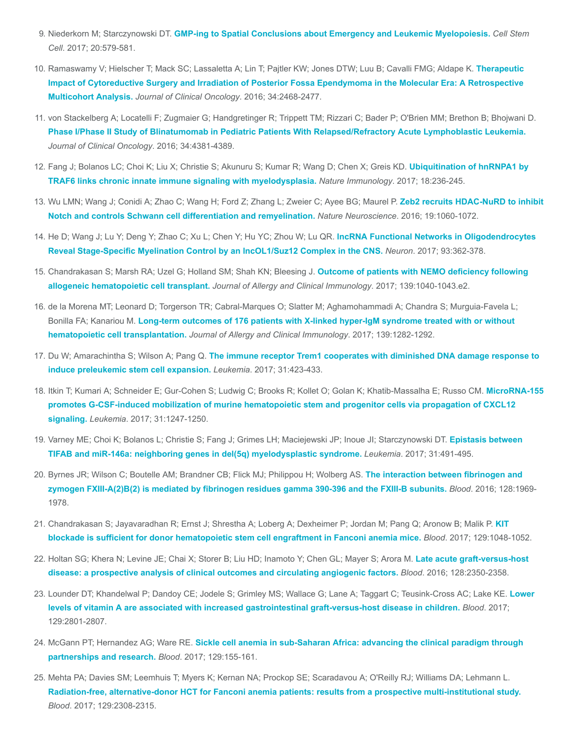- 9. Niederkorn M; Starczynowski DT. [GMP-ing to Spatial Conclusions about Emergency and Leukemic Myelopoiesis.](https://www.ncbi.nlm.nih.gov/pubmed/28475879) Cell Stem Cell. 2017; 20:579-581.
- 10. [Ramaswamy V; Hielscher T; Mack SC; Lassaletta A; Lin T; Pajtler KW; Jones DTW; Luu B; Cavalli FMG; Aldape K.](https://www.ncbi.nlm.nih.gov/pubmed/27269943) Therapeutic Impact of Cytoreductive Surgery and Irradiation of Posterior Fossa Ependymoma in the Molecular Era: A Retrospective Multicohort Analysis. Journal of Clinical Oncology. 2016; 34:2468-2477.
- 11. von Stackelberg A; Locatelli F; Zugmaier G; Handgretinger R; Trippett TM; Rizzari C; Bader P; O'Brien MM; Brethon B; Bhojwani D. [Phase I/Phase II Study of Blinatumomab in Pediatric Patients With Relapsed/Refractory Acute Lymphoblastic Leukemia.](https://www.ncbi.nlm.nih.gov/pubmed/27998223) Journal of Clinical Oncology. 2016; 34:4381-4389.
- 12. [Fang J; Bolanos LC; Choi K; Liu X; Christie S; Akunuru S; Kumar R; Wang D; Chen X; Greis KD.](https://www.ncbi.nlm.nih.gov/pubmed/28024152) Ubiquitination of hnRNPA1 by TRAF6 links chronic innate immune signaling with myelodysplasia. Nature Immunology. 2017; 18:236-245.
- 13. [Wu LMN; Wang J; Conidi A; Zhao C; Wang H; Ford Z; Zhang L; Zweier C; Ayee BG; Maurel P.](https://www.ncbi.nlm.nih.gov/pubmed/27294509) Zeb2 recruits HDAC-NuRD to inhibit Notch and controls Schwann cell differentiation and remyelination. Nature Neuroscience. 2016; 19:1060-1072.
- 14. He D; Wang J; Lu Y; Deng Y; Zhao C; Xu L; Chen Y; Hu YC; Zhou W; Lu QR. IncRNA Functional Networks in Oligodendrocytes [Reveal Stage-Specific Myelination Control by an lncOL1/Suz12 Complex in the CNS.](https://www.ncbi.nlm.nih.gov/pubmed/28041882) Neuron. 2017; 93:362-378.
- 15. [Chandrakasan S; Marsh RA; Uzel G; Holland SM; Shah KN; Bleesing J.](https://www.ncbi.nlm.nih.gov/pubmed/27744027) Outcome of patients with NEMO deficiency following allogeneic hematopoietic cell transplant. Journal of Allergy and Clinical Immunology. 2017; 139:1040-1043.e2.
- 16. de la Morena MT; Leonard D; Torgerson TR; Cabral-Marques O; Slatter M; Aghamohammadi A; Chandra S; Murguia-Favela L; Bonilla FA; Kanariou M. [Long-term outcomes of 176 patients with X-linked hyper-IgM syndrome treated with or without](https://www.ncbi.nlm.nih.gov/pubmed/27697500) hematopoietic cell transplantation. Journal of Allergy and Clinical Immunology. 2017; 139:1282-1292.
- 17. Du W; Amarachintha S; Wilson A; Pang Q. [The immune receptor Trem1 cooperates with diminished DNA damage response to](https://www.ncbi.nlm.nih.gov/pubmed/27568523) induce preleukemic stem cell expansion. Leukemia. 2017; 31:423-433.
- 18. [Itkin T; Kumari A; Schneider E; Gur-Cohen S; Ludwig C; Brooks R; Kollet O; Golan K; Khatib-Massalha E; Russo CM.](https://www.ncbi.nlm.nih.gov/pubmed/28174416) MicroRNA-155 promotes G-CSF-induced mobilization of murine hematopoietic stem and progenitor cells via propagation of CXCL12 signaling. Leukemia. 2017; 31:1247-1250.
- 19. [Varney ME; Choi K; Bolanos L; Christie S; Fang J; Grimes LH; Maciejewski JP; Inoue JI; Starczynowski DT.](https://www.ncbi.nlm.nih.gov/pubmed/27733775) Epistasis between TIFAB and miR-146a: neighboring genes in del(5q) myelodysplastic syndrome. Leukemia. 2017; 31:491-495.
- 20. Byrnes JR; Wilson C; Boutelle AM; Brandner CB; Flick MJ; Philippou H; Wolberg AS. The interaction between fibrinogen and [zymogen FXIII-A\(2\)B\(2\) is mediated by fibrinogen residues gamma 390-396 and the FXIII-B subunits.](https://www.ncbi.nlm.nih.gov/pubmed/27561317) Blood. 2016; 128:1969- 1978.
- 21. [Chandrakasan S; Jayavaradhan R; Ernst J; Shrestha A; Loberg A; Dexheimer P; Jordan M; Pang Q; Aronow B; Malik P.](https://www.ncbi.nlm.nih.gov/pubmed/27998889) KIT blockade is sufficient for donor hematopoietic stem cell engraftment in Fanconi anemia mice. Blood. 2017; 129:1048-1052.
- 22. [Holtan SG; Khera N; Levine JE; Chai X; Storer B; Liu HD; Inamoto Y; Chen GL; Mayer S; Arora M.](https://www.ncbi.nlm.nih.gov/pubmed/27625357) Late acute graft-versus-host disease: a prospective analysis of clinical outcomes and circulating angiogenic factors. Blood. 2016; 128:2350-2358.
- 23. [Lounder DT; Khandelwal P; Dandoy CE; Jodele S; Grimley MS; Wallace G; Lane A; Taggart C; Teusink-Cross AC; Lake KE.](https://www.ncbi.nlm.nih.gov/pubmed/28279965) Lower levels of vitamin A are associated with increased gastrointestinal graft-versus-host disease in children. Blood. 2017; 129:2801-2807.
- 24. McGann PT; Hernandez AG; Ware RE. [Sickle cell anemia in sub-Saharan Africa: advancing the clinical paradigm through](https://www.ncbi.nlm.nih.gov/pubmed/27821508) partnerships and research. Blood. 2017; 129:155-161.
- 25. Mehta PA; Davies SM; Leemhuis T; Myers K; Kernan NA; Prockop SE; Scaradavou A; O'Reilly RJ; Williams DA; Lehmann L. [Radiation-free, alternative-donor HCT for Fanconi anemia patients: results from a prospective multi-institutional study.](https://www.ncbi.nlm.nih.gov/pubmed/28179273) Blood. 2017; 129:2308-2315.